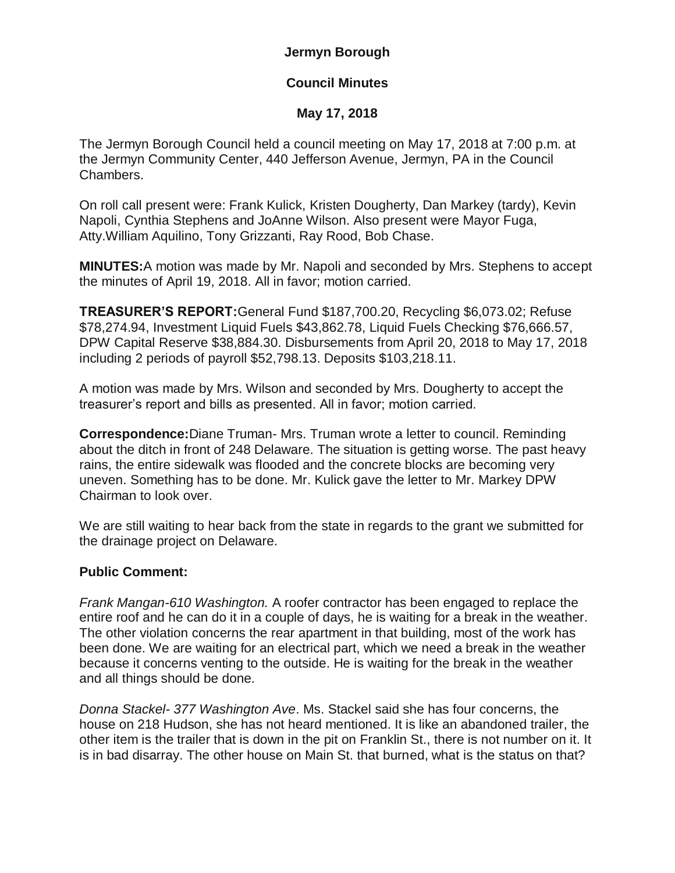# **Jermyn Borough**

# **Council Minutes**

# **May 17, 2018**

The Jermyn Borough Council held a council meeting on May 17, 2018 at 7:00 p.m. at the Jermyn Community Center, 440 Jefferson Avenue, Jermyn, PA in the Council Chambers.

On roll call present were: Frank Kulick, Kristen Dougherty, Dan Markey (tardy), Kevin Napoli, Cynthia Stephens and JoAnne Wilson. Also present were Mayor Fuga, Atty.William Aquilino, Tony Grizzanti, Ray Rood, Bob Chase.

**MINUTES:**A motion was made by Mr. Napoli and seconded by Mrs. Stephens to accept the minutes of April 19, 2018. All in favor; motion carried.

**TREASURER'S REPORT:**General Fund \$187,700.20, Recycling \$6,073.02; Refuse \$78,274.94, Investment Liquid Fuels \$43,862.78, Liquid Fuels Checking \$76,666.57, DPW Capital Reserve \$38,884.30. Disbursements from April 20, 2018 to May 17, 2018 including 2 periods of payroll \$52,798.13. Deposits \$103,218.11.

A motion was made by Mrs. Wilson and seconded by Mrs. Dougherty to accept the treasurer's report and bills as presented. All in favor; motion carried.

**Correspondence:**Diane Truman- Mrs. Truman wrote a letter to council. Reminding about the ditch in front of 248 Delaware. The situation is getting worse. The past heavy rains, the entire sidewalk was flooded and the concrete blocks are becoming very uneven. Something has to be done. Mr. Kulick gave the letter to Mr. Markey DPW Chairman to look over.

We are still waiting to hear back from the state in regards to the grant we submitted for the drainage project on Delaware.

### **Public Comment:**

*Frank Mangan-610 Washington.* A roofer contractor has been engaged to replace the entire roof and he can do it in a couple of days, he is waiting for a break in the weather. The other violation concerns the rear apartment in that building, most of the work has been done. We are waiting for an electrical part, which we need a break in the weather because it concerns venting to the outside. He is waiting for the break in the weather and all things should be done.

*Donna Stackel- 377 Washington Ave*. Ms. Stackel said she has four concerns, the house on 218 Hudson, she has not heard mentioned. It is like an abandoned trailer, the other item is the trailer that is down in the pit on Franklin St., there is not number on it. It is in bad disarray. The other house on Main St. that burned, what is the status on that?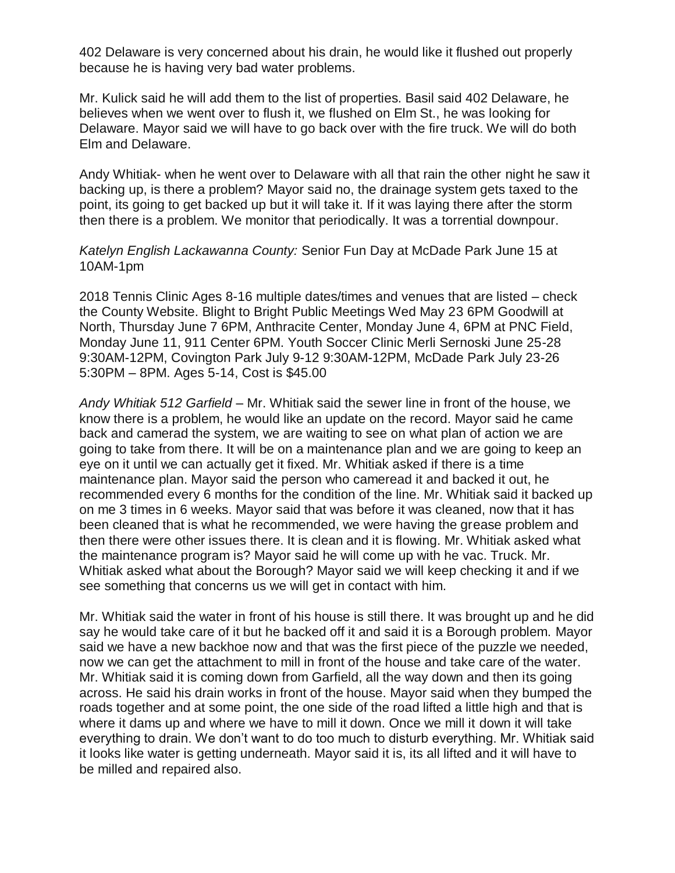402 Delaware is very concerned about his drain, he would like it flushed out properly because he is having very bad water problems.

Mr. Kulick said he will add them to the list of properties. Basil said 402 Delaware, he believes when we went over to flush it, we flushed on Elm St., he was looking for Delaware. Mayor said we will have to go back over with the fire truck. We will do both Elm and Delaware.

Andy Whitiak- when he went over to Delaware with all that rain the other night he saw it backing up, is there a problem? Mayor said no, the drainage system gets taxed to the point, its going to get backed up but it will take it. If it was laying there after the storm then there is a problem. We monitor that periodically. It was a torrential downpour.

### *Katelyn English Lackawanna County:* Senior Fun Day at McDade Park June 15 at 10AM-1pm

2018 Tennis Clinic Ages 8-16 multiple dates/times and venues that are listed – check the County Website. Blight to Bright Public Meetings Wed May 23 6PM Goodwill at North, Thursday June 7 6PM, Anthracite Center, Monday June 4, 6PM at PNC Field, Monday June 11, 911 Center 6PM. Youth Soccer Clinic Merli Sernoski June 25-28 9:30AM-12PM, Covington Park July 9-12 9:30AM-12PM, McDade Park July 23-26 5:30PM – 8PM. Ages 5-14, Cost is \$45.00

*Andy Whitiak 512 Garfield –* Mr. Whitiak said the sewer line in front of the house, we know there is a problem, he would like an update on the record. Mayor said he came back and camerad the system, we are waiting to see on what plan of action we are going to take from there. It will be on a maintenance plan and we are going to keep an eye on it until we can actually get it fixed. Mr. Whitiak asked if there is a time maintenance plan. Mayor said the person who cameread it and backed it out, he recommended every 6 months for the condition of the line. Mr. Whitiak said it backed up on me 3 times in 6 weeks. Mayor said that was before it was cleaned, now that it has been cleaned that is what he recommended, we were having the grease problem and then there were other issues there. It is clean and it is flowing. Mr. Whitiak asked what the maintenance program is? Mayor said he will come up with he vac. Truck. Mr. Whitiak asked what about the Borough? Mayor said we will keep checking it and if we see something that concerns us we will get in contact with him.

Mr. Whitiak said the water in front of his house is still there. It was brought up and he did say he would take care of it but he backed off it and said it is a Borough problem. Mayor said we have a new backhoe now and that was the first piece of the puzzle we needed, now we can get the attachment to mill in front of the house and take care of the water. Mr. Whitiak said it is coming down from Garfield, all the way down and then its going across. He said his drain works in front of the house. Mayor said when they bumped the roads together and at some point, the one side of the road lifted a little high and that is where it dams up and where we have to mill it down. Once we mill it down it will take everything to drain. We don't want to do too much to disturb everything. Mr. Whitiak said it looks like water is getting underneath. Mayor said it is, its all lifted and it will have to be milled and repaired also.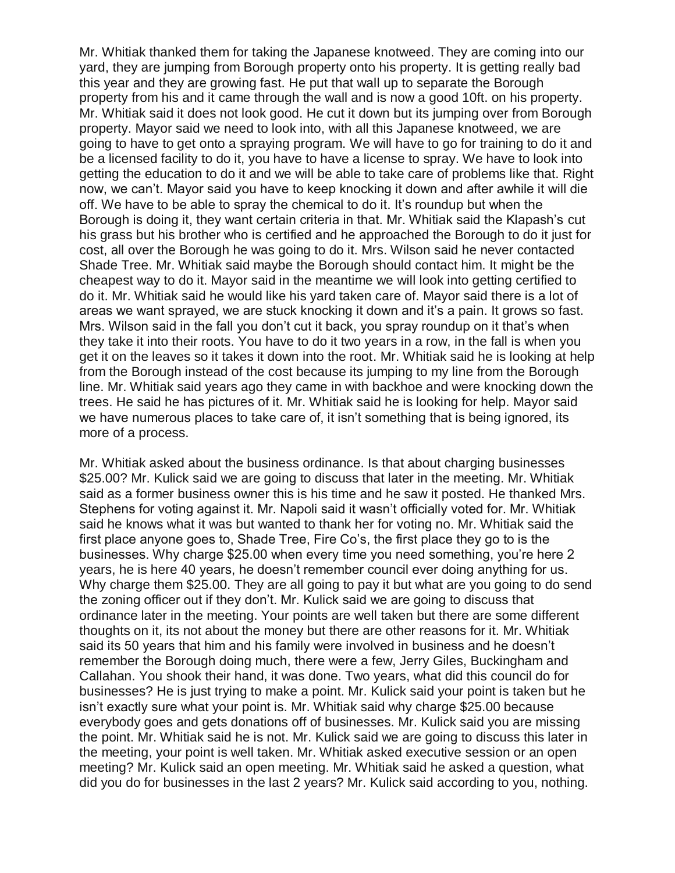Mr. Whitiak thanked them for taking the Japanese knotweed. They are coming into our yard, they are jumping from Borough property onto his property. It is getting really bad this year and they are growing fast. He put that wall up to separate the Borough property from his and it came through the wall and is now a good 10ft. on his property. Mr. Whitiak said it does not look good. He cut it down but its jumping over from Borough property. Mayor said we need to look into, with all this Japanese knotweed, we are going to have to get onto a spraying program. We will have to go for training to do it and be a licensed facility to do it, you have to have a license to spray. We have to look into getting the education to do it and we will be able to take care of problems like that. Right now, we can't. Mayor said you have to keep knocking it down and after awhile it will die off. We have to be able to spray the chemical to do it. It's roundup but when the Borough is doing it, they want certain criteria in that. Mr. Whitiak said the Klapash's cut his grass but his brother who is certified and he approached the Borough to do it just for cost, all over the Borough he was going to do it. Mrs. Wilson said he never contacted Shade Tree. Mr. Whitiak said maybe the Borough should contact him. It might be the cheapest way to do it. Mayor said in the meantime we will look into getting certified to do it. Mr. Whitiak said he would like his yard taken care of. Mayor said there is a lot of areas we want sprayed, we are stuck knocking it down and it's a pain. It grows so fast. Mrs. Wilson said in the fall you don't cut it back, you spray roundup on it that's when they take it into their roots. You have to do it two years in a row, in the fall is when you get it on the leaves so it takes it down into the root. Mr. Whitiak said he is looking at help from the Borough instead of the cost because its jumping to my line from the Borough line. Mr. Whitiak said years ago they came in with backhoe and were knocking down the trees. He said he has pictures of it. Mr. Whitiak said he is looking for help. Mayor said we have numerous places to take care of, it isn't something that is being ignored, its more of a process.

Mr. Whitiak asked about the business ordinance. Is that about charging businesses \$25.00? Mr. Kulick said we are going to discuss that later in the meeting. Mr. Whitiak said as a former business owner this is his time and he saw it posted. He thanked Mrs. Stephens for voting against it. Mr. Napoli said it wasn't officially voted for. Mr. Whitiak said he knows what it was but wanted to thank her for voting no. Mr. Whitiak said the first place anyone goes to, Shade Tree, Fire Co's, the first place they go to is the businesses. Why charge \$25.00 when every time you need something, you're here 2 years, he is here 40 years, he doesn't remember council ever doing anything for us. Why charge them \$25.00. They are all going to pay it but what are you going to do send the zoning officer out if they don't. Mr. Kulick said we are going to discuss that ordinance later in the meeting. Your points are well taken but there are some different thoughts on it, its not about the money but there are other reasons for it. Mr. Whitiak said its 50 years that him and his family were involved in business and he doesn't remember the Borough doing much, there were a few, Jerry Giles, Buckingham and Callahan. You shook their hand, it was done. Two years, what did this council do for businesses? He is just trying to make a point. Mr. Kulick said your point is taken but he isn't exactly sure what your point is. Mr. Whitiak said why charge \$25.00 because everybody goes and gets donations off of businesses. Mr. Kulick said you are missing the point. Mr. Whitiak said he is not. Mr. Kulick said we are going to discuss this later in the meeting, your point is well taken. Mr. Whitiak asked executive session or an open meeting? Mr. Kulick said an open meeting. Mr. Whitiak said he asked a question, what did you do for businesses in the last 2 years? Mr. Kulick said according to you, nothing.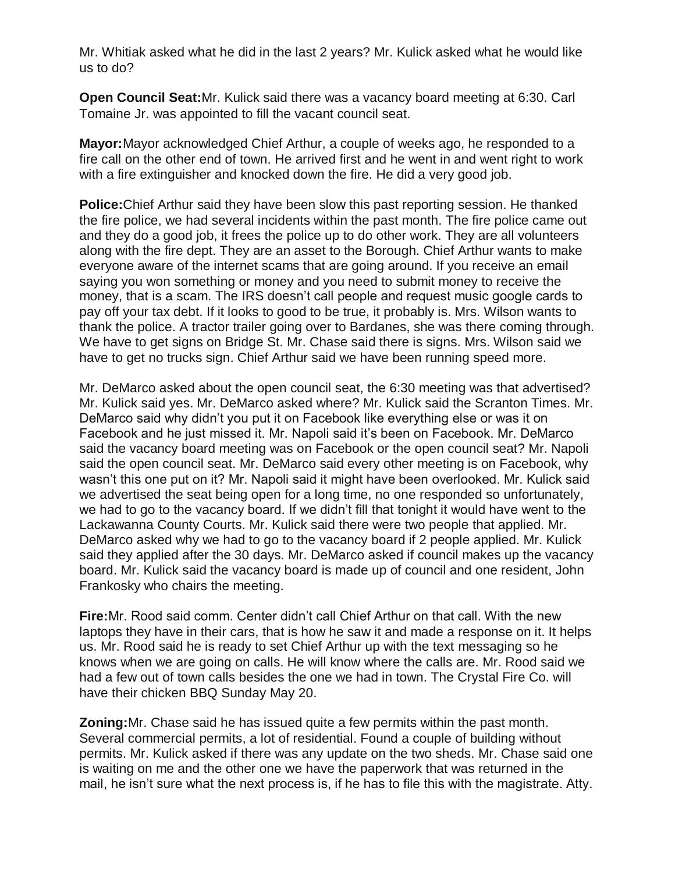Mr. Whitiak asked what he did in the last 2 years? Mr. Kulick asked what he would like us to do?

**Open Council Seat:**Mr. Kulick said there was a vacancy board meeting at 6:30. Carl Tomaine Jr. was appointed to fill the vacant council seat.

**Mayor:**Mayor acknowledged Chief Arthur, a couple of weeks ago, he responded to a fire call on the other end of town. He arrived first and he went in and went right to work with a fire extinguisher and knocked down the fire. He did a very good job.

**Police:**Chief Arthur said they have been slow this past reporting session. He thanked the fire police, we had several incidents within the past month. The fire police came out and they do a good job, it frees the police up to do other work. They are all volunteers along with the fire dept. They are an asset to the Borough. Chief Arthur wants to make everyone aware of the internet scams that are going around. If you receive an email saying you won something or money and you need to submit money to receive the money, that is a scam. The IRS doesn't call people and request music google cards to pay off your tax debt. If it looks to good to be true, it probably is. Mrs. Wilson wants to thank the police. A tractor trailer going over to Bardanes, she was there coming through. We have to get signs on Bridge St. Mr. Chase said there is signs. Mrs. Wilson said we have to get no trucks sign. Chief Arthur said we have been running speed more.

Mr. DeMarco asked about the open council seat, the 6:30 meeting was that advertised? Mr. Kulick said yes. Mr. DeMarco asked where? Mr. Kulick said the Scranton Times. Mr. DeMarco said why didn't you put it on Facebook like everything else or was it on Facebook and he just missed it. Mr. Napoli said it's been on Facebook. Mr. DeMarco said the vacancy board meeting was on Facebook or the open council seat? Mr. Napoli said the open council seat. Mr. DeMarco said every other meeting is on Facebook, why wasn't this one put on it? Mr. Napoli said it might have been overlooked. Mr. Kulick said we advertised the seat being open for a long time, no one responded so unfortunately, we had to go to the vacancy board. If we didn't fill that tonight it would have went to the Lackawanna County Courts. Mr. Kulick said there were two people that applied. Mr. DeMarco asked why we had to go to the vacancy board if 2 people applied. Mr. Kulick said they applied after the 30 days. Mr. DeMarco asked if council makes up the vacancy board. Mr. Kulick said the vacancy board is made up of council and one resident, John Frankosky who chairs the meeting.

**Fire:**Mr. Rood said comm. Center didn't call Chief Arthur on that call. With the new laptops they have in their cars, that is how he saw it and made a response on it. It helps us. Mr. Rood said he is ready to set Chief Arthur up with the text messaging so he knows when we are going on calls. He will know where the calls are. Mr. Rood said we had a few out of town calls besides the one we had in town. The Crystal Fire Co. will have their chicken BBQ Sunday May 20.

**Zoning:**Mr. Chase said he has issued quite a few permits within the past month. Several commercial permits, a lot of residential. Found a couple of building without permits. Mr. Kulick asked if there was any update on the two sheds. Mr. Chase said one is waiting on me and the other one we have the paperwork that was returned in the mail, he isn't sure what the next process is, if he has to file this with the magistrate. Atty.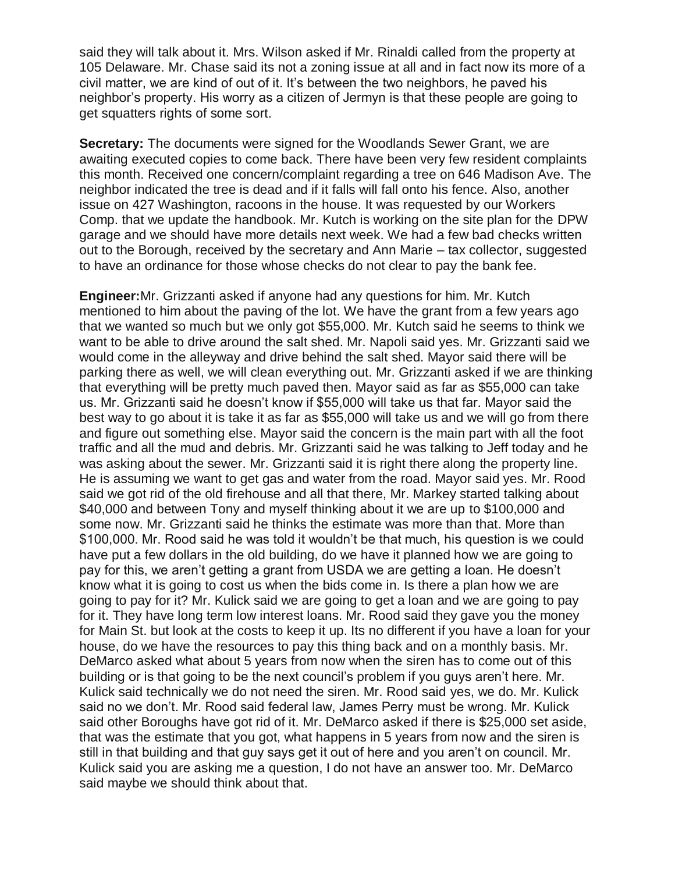said they will talk about it. Mrs. Wilson asked if Mr. Rinaldi called from the property at 105 Delaware. Mr. Chase said its not a zoning issue at all and in fact now its more of a civil matter, we are kind of out of it. It's between the two neighbors, he paved his neighbor's property. His worry as a citizen of Jermyn is that these people are going to get squatters rights of some sort.

**Secretary:** The documents were signed for the Woodlands Sewer Grant, we are awaiting executed copies to come back. There have been very few resident complaints this month. Received one concern/complaint regarding a tree on 646 Madison Ave. The neighbor indicated the tree is dead and if it falls will fall onto his fence. Also, another issue on 427 Washington, racoons in the house. It was requested by our Workers Comp. that we update the handbook. Mr. Kutch is working on the site plan for the DPW garage and we should have more details next week. We had a few bad checks written out to the Borough, received by the secretary and Ann Marie – tax collector, suggested to have an ordinance for those whose checks do not clear to pay the bank fee.

**Engineer:**Mr. Grizzanti asked if anyone had any questions for him. Mr. Kutch mentioned to him about the paving of the lot. We have the grant from a few years ago that we wanted so much but we only got \$55,000. Mr. Kutch said he seems to think we want to be able to drive around the salt shed. Mr. Napoli said yes. Mr. Grizzanti said we would come in the alleyway and drive behind the salt shed. Mayor said there will be parking there as well, we will clean everything out. Mr. Grizzanti asked if we are thinking that everything will be pretty much paved then. Mayor said as far as \$55,000 can take us. Mr. Grizzanti said he doesn't know if \$55,000 will take us that far. Mayor said the best way to go about it is take it as far as \$55,000 will take us and we will go from there and figure out something else. Mayor said the concern is the main part with all the foot traffic and all the mud and debris. Mr. Grizzanti said he was talking to Jeff today and he was asking about the sewer. Mr. Grizzanti said it is right there along the property line. He is assuming we want to get gas and water from the road. Mayor said yes. Mr. Rood said we got rid of the old firehouse and all that there, Mr. Markey started talking about \$40,000 and between Tony and myself thinking about it we are up to \$100,000 and some now. Mr. Grizzanti said he thinks the estimate was more than that. More than \$100,000. Mr. Rood said he was told it wouldn't be that much, his question is we could have put a few dollars in the old building, do we have it planned how we are going to pay for this, we aren't getting a grant from USDA we are getting a loan. He doesn't know what it is going to cost us when the bids come in. Is there a plan how we are going to pay for it? Mr. Kulick said we are going to get a loan and we are going to pay for it. They have long term low interest loans. Mr. Rood said they gave you the money for Main St. but look at the costs to keep it up. Its no different if you have a loan for your house, do we have the resources to pay this thing back and on a monthly basis. Mr. DeMarco asked what about 5 years from now when the siren has to come out of this building or is that going to be the next council's problem if you guys aren't here. Mr. Kulick said technically we do not need the siren. Mr. Rood said yes, we do. Mr. Kulick said no we don't. Mr. Rood said federal law, James Perry must be wrong. Mr. Kulick said other Boroughs have got rid of it. Mr. DeMarco asked if there is \$25,000 set aside, that was the estimate that you got, what happens in 5 years from now and the siren is still in that building and that guy says get it out of here and you aren't on council. Mr. Kulick said you are asking me a question, I do not have an answer too. Mr. DeMarco said maybe we should think about that.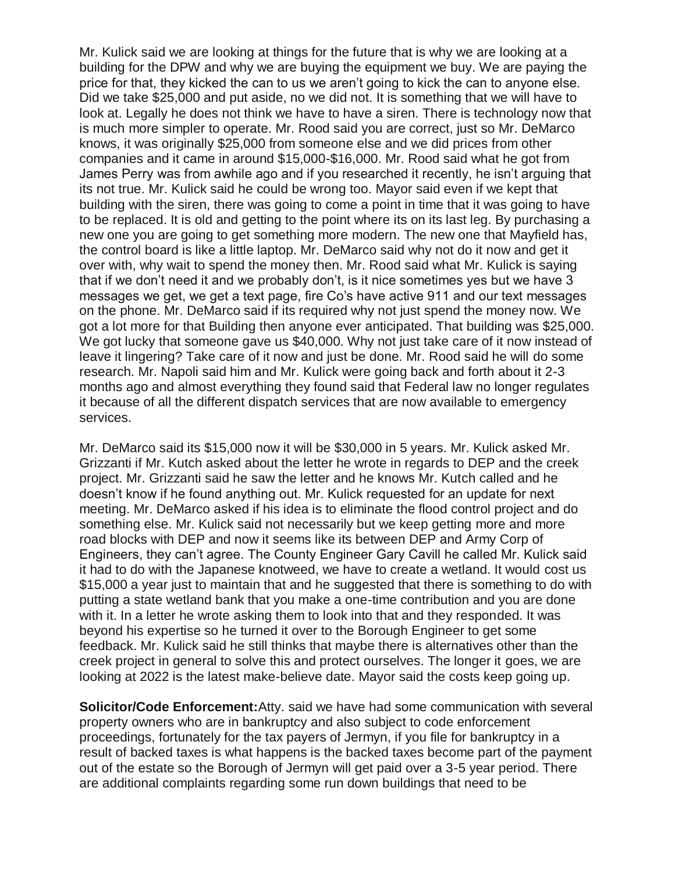Mr. Kulick said we are looking at things for the future that is why we are looking at a building for the DPW and why we are buying the equipment we buy. We are paying the price for that, they kicked the can to us we aren't going to kick the can to anyone else. Did we take \$25,000 and put aside, no we did not. It is something that we will have to look at. Legally he does not think we have to have a siren. There is technology now that is much more simpler to operate. Mr. Rood said you are correct, just so Mr. DeMarco knows, it was originally \$25,000 from someone else and we did prices from other companies and it came in around \$15,000-\$16,000. Mr. Rood said what he got from James Perry was from awhile ago and if you researched it recently, he isn't arguing that its not true. Mr. Kulick said he could be wrong too. Mayor said even if we kept that building with the siren, there was going to come a point in time that it was going to have to be replaced. It is old and getting to the point where its on its last leg. By purchasing a new one you are going to get something more modern. The new one that Mayfield has, the control board is like a little laptop. Mr. DeMarco said why not do it now and get it over with, why wait to spend the money then. Mr. Rood said what Mr. Kulick is saying that if we don't need it and we probably don't, is it nice sometimes yes but we have 3 messages we get, we get a text page, fire Co's have active 911 and our text messages on the phone. Mr. DeMarco said if its required why not just spend the money now. We got a lot more for that Building then anyone ever anticipated. That building was \$25,000. We got lucky that someone gave us \$40,000. Why not just take care of it now instead of leave it lingering? Take care of it now and just be done. Mr. Rood said he will do some research. Mr. Napoli said him and Mr. Kulick were going back and forth about it 2-3 months ago and almost everything they found said that Federal law no longer regulates it because of all the different dispatch services that are now available to emergency services.

Mr. DeMarco said its \$15,000 now it will be \$30,000 in 5 years. Mr. Kulick asked Mr. Grizzanti if Mr. Kutch asked about the letter he wrote in regards to DEP and the creek project. Mr. Grizzanti said he saw the letter and he knows Mr. Kutch called and he doesn't know if he found anything out. Mr. Kulick requested for an update for next meeting. Mr. DeMarco asked if his idea is to eliminate the flood control project and do something else. Mr. Kulick said not necessarily but we keep getting more and more road blocks with DEP and now it seems like its between DEP and Army Corp of Engineers, they can't agree. The County Engineer Gary Cavill he called Mr. Kulick said it had to do with the Japanese knotweed, we have to create a wetland. It would cost us \$15,000 a year just to maintain that and he suggested that there is something to do with putting a state wetland bank that you make a one-time contribution and you are done with it. In a letter he wrote asking them to look into that and they responded. It was beyond his expertise so he turned it over to the Borough Engineer to get some feedback. Mr. Kulick said he still thinks that maybe there is alternatives other than the creek project in general to solve this and protect ourselves. The longer it goes, we are looking at 2022 is the latest make-believe date. Mayor said the costs keep going up.

**Solicitor/Code Enforcement:**Atty. said we have had some communication with several property owners who are in bankruptcy and also subject to code enforcement proceedings, fortunately for the tax payers of Jermyn, if you file for bankruptcy in a result of backed taxes is what happens is the backed taxes become part of the payment out of the estate so the Borough of Jermyn will get paid over a 3-5 year period. There are additional complaints regarding some run down buildings that need to be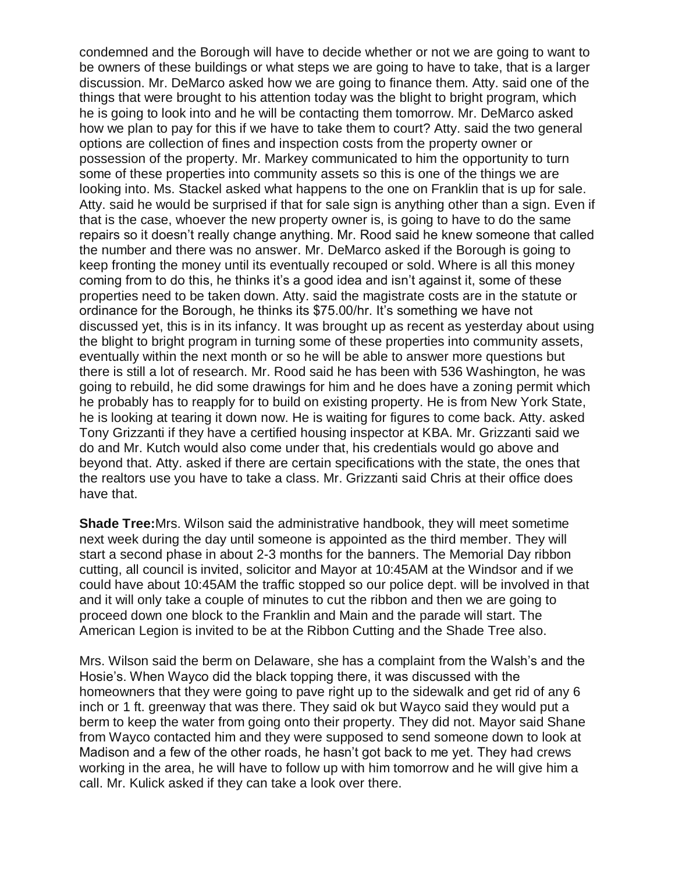condemned and the Borough will have to decide whether or not we are going to want to be owners of these buildings or what steps we are going to have to take, that is a larger discussion. Mr. DeMarco asked how we are going to finance them. Atty. said one of the things that were brought to his attention today was the blight to bright program, which he is going to look into and he will be contacting them tomorrow. Mr. DeMarco asked how we plan to pay for this if we have to take them to court? Atty. said the two general options are collection of fines and inspection costs from the property owner or possession of the property. Mr. Markey communicated to him the opportunity to turn some of these properties into community assets so this is one of the things we are looking into. Ms. Stackel asked what happens to the one on Franklin that is up for sale. Atty. said he would be surprised if that for sale sign is anything other than a sign. Even if that is the case, whoever the new property owner is, is going to have to do the same repairs so it doesn't really change anything. Mr. Rood said he knew someone that called the number and there was no answer. Mr. DeMarco asked if the Borough is going to keep fronting the money until its eventually recouped or sold. Where is all this money coming from to do this, he thinks it's a good idea and isn't against it, some of these properties need to be taken down. Atty. said the magistrate costs are in the statute or ordinance for the Borough, he thinks its \$75.00/hr. It's something we have not discussed yet, this is in its infancy. It was brought up as recent as yesterday about using the blight to bright program in turning some of these properties into community assets, eventually within the next month or so he will be able to answer more questions but there is still a lot of research. Mr. Rood said he has been with 536 Washington, he was going to rebuild, he did some drawings for him and he does have a zoning permit which he probably has to reapply for to build on existing property. He is from New York State, he is looking at tearing it down now. He is waiting for figures to come back. Atty. asked Tony Grizzanti if they have a certified housing inspector at KBA. Mr. Grizzanti said we do and Mr. Kutch would also come under that, his credentials would go above and beyond that. Atty. asked if there are certain specifications with the state, the ones that the realtors use you have to take a class. Mr. Grizzanti said Chris at their office does have that.

**Shade Tree:**Mrs. Wilson said the administrative handbook, they will meet sometime next week during the day until someone is appointed as the third member. They will start a second phase in about 2-3 months for the banners. The Memorial Day ribbon cutting, all council is invited, solicitor and Mayor at 10:45AM at the Windsor and if we could have about 10:45AM the traffic stopped so our police dept. will be involved in that and it will only take a couple of minutes to cut the ribbon and then we are going to proceed down one block to the Franklin and Main and the parade will start. The American Legion is invited to be at the Ribbon Cutting and the Shade Tree also.

Mrs. Wilson said the berm on Delaware, she has a complaint from the Walsh's and the Hosie's. When Wayco did the black topping there, it was discussed with the homeowners that they were going to pave right up to the sidewalk and get rid of any 6 inch or 1 ft. greenway that was there. They said ok but Wayco said they would put a berm to keep the water from going onto their property. They did not. Mayor said Shane from Wayco contacted him and they were supposed to send someone down to look at Madison and a few of the other roads, he hasn't got back to me yet. They had crews working in the area, he will have to follow up with him tomorrow and he will give him a call. Mr. Kulick asked if they can take a look over there.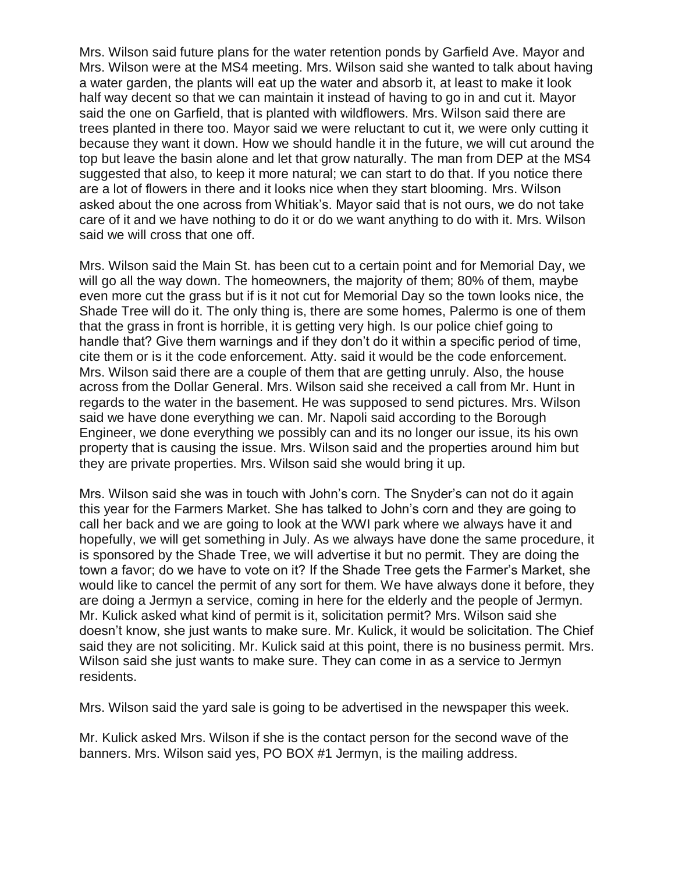Mrs. Wilson said future plans for the water retention ponds by Garfield Ave. Mayor and Mrs. Wilson were at the MS4 meeting. Mrs. Wilson said she wanted to talk about having a water garden, the plants will eat up the water and absorb it, at least to make it look half way decent so that we can maintain it instead of having to go in and cut it. Mayor said the one on Garfield, that is planted with wildflowers. Mrs. Wilson said there are trees planted in there too. Mayor said we were reluctant to cut it, we were only cutting it because they want it down. How we should handle it in the future, we will cut around the top but leave the basin alone and let that grow naturally. The man from DEP at the MS4 suggested that also, to keep it more natural; we can start to do that. If you notice there are a lot of flowers in there and it looks nice when they start blooming. Mrs. Wilson asked about the one across from Whitiak's. Mayor said that is not ours, we do not take care of it and we have nothing to do it or do we want anything to do with it. Mrs. Wilson said we will cross that one off.

Mrs. Wilson said the Main St. has been cut to a certain point and for Memorial Day, we will go all the way down. The homeowners, the majority of them; 80% of them, maybe even more cut the grass but if is it not cut for Memorial Day so the town looks nice, the Shade Tree will do it. The only thing is, there are some homes, Palermo is one of them that the grass in front is horrible, it is getting very high. Is our police chief going to handle that? Give them warnings and if they don't do it within a specific period of time, cite them or is it the code enforcement. Atty. said it would be the code enforcement. Mrs. Wilson said there are a couple of them that are getting unruly. Also, the house across from the Dollar General. Mrs. Wilson said she received a call from Mr. Hunt in regards to the water in the basement. He was supposed to send pictures. Mrs. Wilson said we have done everything we can. Mr. Napoli said according to the Borough Engineer, we done everything we possibly can and its no longer our issue, its his own property that is causing the issue. Mrs. Wilson said and the properties around him but they are private properties. Mrs. Wilson said she would bring it up.

Mrs. Wilson said she was in touch with John's corn. The Snyder's can not do it again this year for the Farmers Market. She has talked to John's corn and they are going to call her back and we are going to look at the WWI park where we always have it and hopefully, we will get something in July. As we always have done the same procedure, it is sponsored by the Shade Tree, we will advertise it but no permit. They are doing the town a favor; do we have to vote on it? If the Shade Tree gets the Farmer's Market, she would like to cancel the permit of any sort for them. We have always done it before, they are doing a Jermyn a service, coming in here for the elderly and the people of Jermyn. Mr. Kulick asked what kind of permit is it, solicitation permit? Mrs. Wilson said she doesn't know, she just wants to make sure. Mr. Kulick, it would be solicitation. The Chief said they are not soliciting. Mr. Kulick said at this point, there is no business permit. Mrs. Wilson said she just wants to make sure. They can come in as a service to Jermyn residents.

Mrs. Wilson said the yard sale is going to be advertised in the newspaper this week.

Mr. Kulick asked Mrs. Wilson if she is the contact person for the second wave of the banners. Mrs. Wilson said yes, PO BOX #1 Jermyn, is the mailing address.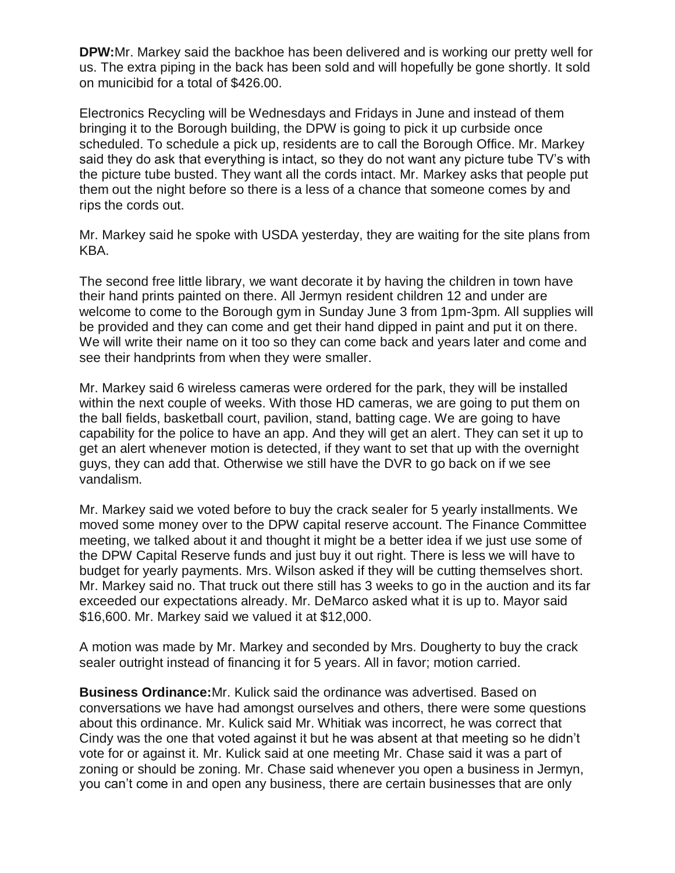**DPW:**Mr. Markey said the backhoe has been delivered and is working our pretty well for us. The extra piping in the back has been sold and will hopefully be gone shortly. It sold on municibid for a total of \$426.00.

Electronics Recycling will be Wednesdays and Fridays in June and instead of them bringing it to the Borough building, the DPW is going to pick it up curbside once scheduled. To schedule a pick up, residents are to call the Borough Office. Mr. Markey said they do ask that everything is intact, so they do not want any picture tube TV's with the picture tube busted. They want all the cords intact. Mr. Markey asks that people put them out the night before so there is a less of a chance that someone comes by and rips the cords out.

Mr. Markey said he spoke with USDA yesterday, they are waiting for the site plans from KBA.

The second free little library, we want decorate it by having the children in town have their hand prints painted on there. All Jermyn resident children 12 and under are welcome to come to the Borough gym in Sunday June 3 from 1pm-3pm. All supplies will be provided and they can come and get their hand dipped in paint and put it on there. We will write their name on it too so they can come back and years later and come and see their handprints from when they were smaller.

Mr. Markey said 6 wireless cameras were ordered for the park, they will be installed within the next couple of weeks. With those HD cameras, we are going to put them on the ball fields, basketball court, pavilion, stand, batting cage. We are going to have capability for the police to have an app. And they will get an alert. They can set it up to get an alert whenever motion is detected, if they want to set that up with the overnight guys, they can add that. Otherwise we still have the DVR to go back on if we see vandalism.

Mr. Markey said we voted before to buy the crack sealer for 5 yearly installments. We moved some money over to the DPW capital reserve account. The Finance Committee meeting, we talked about it and thought it might be a better idea if we just use some of the DPW Capital Reserve funds and just buy it out right. There is less we will have to budget for yearly payments. Mrs. Wilson asked if they will be cutting themselves short. Mr. Markey said no. That truck out there still has 3 weeks to go in the auction and its far exceeded our expectations already. Mr. DeMarco asked what it is up to. Mayor said \$16,600. Mr. Markey said we valued it at \$12,000.

A motion was made by Mr. Markey and seconded by Mrs. Dougherty to buy the crack sealer outright instead of financing it for 5 years. All in favor; motion carried.

**Business Ordinance:**Mr. Kulick said the ordinance was advertised. Based on conversations we have had amongst ourselves and others, there were some questions about this ordinance. Mr. Kulick said Mr. Whitiak was incorrect, he was correct that Cindy was the one that voted against it but he was absent at that meeting so he didn't vote for or against it. Mr. Kulick said at one meeting Mr. Chase said it was a part of zoning or should be zoning. Mr. Chase said whenever you open a business in Jermyn, you can't come in and open any business, there are certain businesses that are only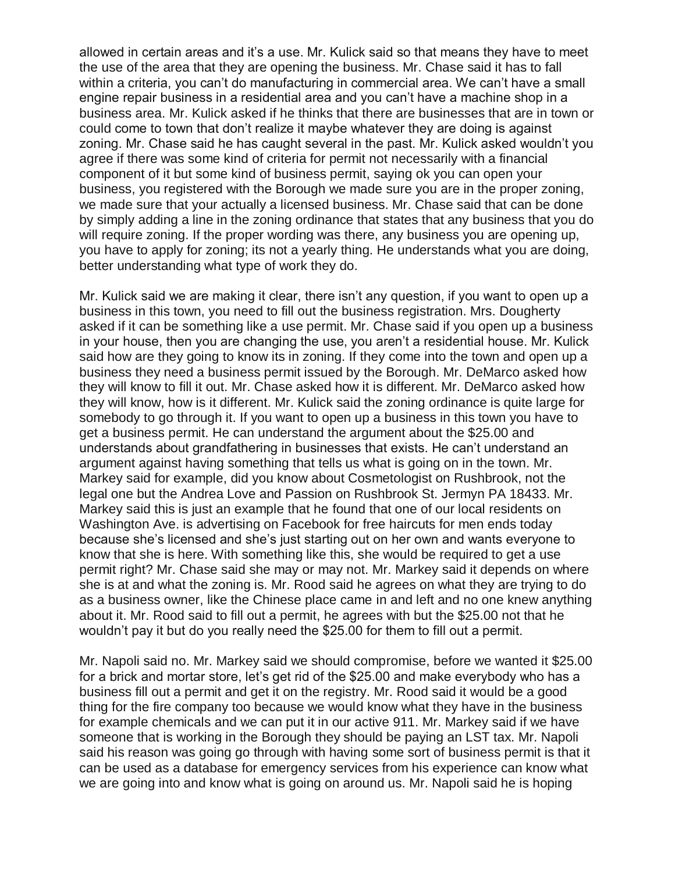allowed in certain areas and it's a use. Mr. Kulick said so that means they have to meet the use of the area that they are opening the business. Mr. Chase said it has to fall within a criteria, you can't do manufacturing in commercial area. We can't have a small engine repair business in a residential area and you can't have a machine shop in a business area. Mr. Kulick asked if he thinks that there are businesses that are in town or could come to town that don't realize it maybe whatever they are doing is against zoning. Mr. Chase said he has caught several in the past. Mr. Kulick asked wouldn't you agree if there was some kind of criteria for permit not necessarily with a financial component of it but some kind of business permit, saying ok you can open your business, you registered with the Borough we made sure you are in the proper zoning, we made sure that your actually a licensed business. Mr. Chase said that can be done by simply adding a line in the zoning ordinance that states that any business that you do will require zoning. If the proper wording was there, any business you are opening up, you have to apply for zoning; its not a yearly thing. He understands what you are doing, better understanding what type of work they do.

Mr. Kulick said we are making it clear, there isn't any question, if you want to open up a business in this town, you need to fill out the business registration. Mrs. Dougherty asked if it can be something like a use permit. Mr. Chase said if you open up a business in your house, then you are changing the use, you aren't a residential house. Mr. Kulick said how are they going to know its in zoning. If they come into the town and open up a business they need a business permit issued by the Borough. Mr. DeMarco asked how they will know to fill it out. Mr. Chase asked how it is different. Mr. DeMarco asked how they will know, how is it different. Mr. Kulick said the zoning ordinance is quite large for somebody to go through it. If you want to open up a business in this town you have to get a business permit. He can understand the argument about the \$25.00 and understands about grandfathering in businesses that exists. He can't understand an argument against having something that tells us what is going on in the town. Mr. Markey said for example, did you know about Cosmetologist on Rushbrook, not the legal one but the Andrea Love and Passion on Rushbrook St. Jermyn PA 18433. Mr. Markey said this is just an example that he found that one of our local residents on Washington Ave. is advertising on Facebook for free haircuts for men ends today because she's licensed and she's just starting out on her own and wants everyone to know that she is here. With something like this, she would be required to get a use permit right? Mr. Chase said she may or may not. Mr. Markey said it depends on where she is at and what the zoning is. Mr. Rood said he agrees on what they are trying to do as a business owner, like the Chinese place came in and left and no one knew anything about it. Mr. Rood said to fill out a permit, he agrees with but the \$25.00 not that he wouldn't pay it but do you really need the \$25.00 for them to fill out a permit.

Mr. Napoli said no. Mr. Markey said we should compromise, before we wanted it \$25.00 for a brick and mortar store, let's get rid of the \$25.00 and make everybody who has a business fill out a permit and get it on the registry. Mr. Rood said it would be a good thing for the fire company too because we would know what they have in the business for example chemicals and we can put it in our active 911. Mr. Markey said if we have someone that is working in the Borough they should be paying an LST tax. Mr. Napoli said his reason was going go through with having some sort of business permit is that it can be used as a database for emergency services from his experience can know what we are going into and know what is going on around us. Mr. Napoli said he is hoping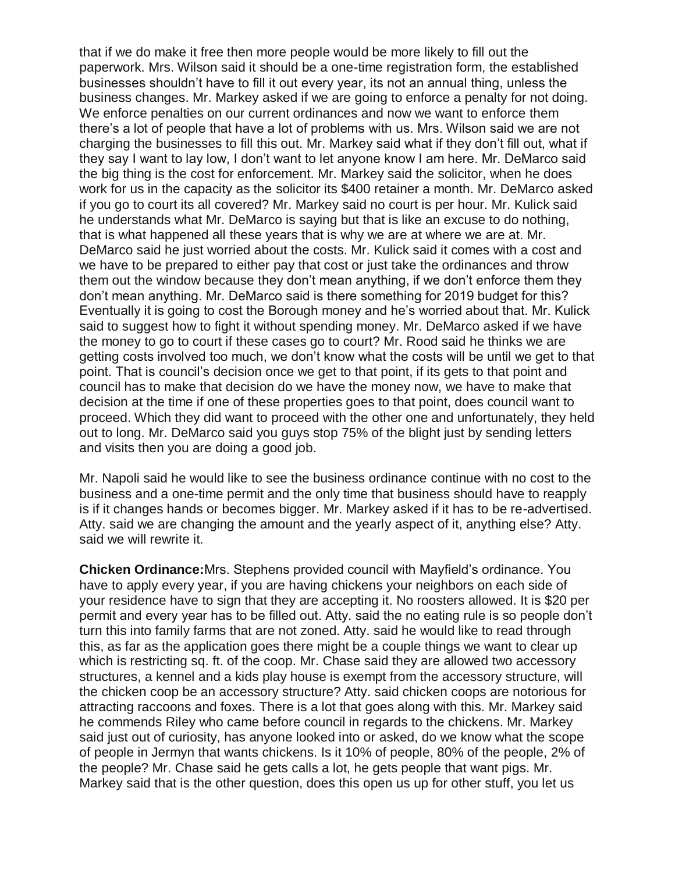that if we do make it free then more people would be more likely to fill out the paperwork. Mrs. Wilson said it should be a one-time registration form, the established businesses shouldn't have to fill it out every year, its not an annual thing, unless the business changes. Mr. Markey asked if we are going to enforce a penalty for not doing. We enforce penalties on our current ordinances and now we want to enforce them there's a lot of people that have a lot of problems with us. Mrs. Wilson said we are not charging the businesses to fill this out. Mr. Markey said what if they don't fill out, what if they say I want to lay low, I don't want to let anyone know I am here. Mr. DeMarco said the big thing is the cost for enforcement. Mr. Markey said the solicitor, when he does work for us in the capacity as the solicitor its \$400 retainer a month. Mr. DeMarco asked if you go to court its all covered? Mr. Markey said no court is per hour. Mr. Kulick said he understands what Mr. DeMarco is saying but that is like an excuse to do nothing, that is what happened all these years that is why we are at where we are at. Mr. DeMarco said he just worried about the costs. Mr. Kulick said it comes with a cost and we have to be prepared to either pay that cost or just take the ordinances and throw them out the window because they don't mean anything, if we don't enforce them they don't mean anything. Mr. DeMarco said is there something for 2019 budget for this? Eventually it is going to cost the Borough money and he's worried about that. Mr. Kulick said to suggest how to fight it without spending money. Mr. DeMarco asked if we have the money to go to court if these cases go to court? Mr. Rood said he thinks we are getting costs involved too much, we don't know what the costs will be until we get to that point. That is council's decision once we get to that point, if its gets to that point and council has to make that decision do we have the money now, we have to make that decision at the time if one of these properties goes to that point, does council want to proceed. Which they did want to proceed with the other one and unfortunately, they held out to long. Mr. DeMarco said you guys stop 75% of the blight just by sending letters and visits then you are doing a good job.

Mr. Napoli said he would like to see the business ordinance continue with no cost to the business and a one-time permit and the only time that business should have to reapply is if it changes hands or becomes bigger. Mr. Markey asked if it has to be re-advertised. Atty. said we are changing the amount and the yearly aspect of it, anything else? Atty. said we will rewrite it.

**Chicken Ordinance:**Mrs. Stephens provided council with Mayfield's ordinance. You have to apply every year, if you are having chickens your neighbors on each side of your residence have to sign that they are accepting it. No roosters allowed. It is \$20 per permit and every year has to be filled out. Atty. said the no eating rule is so people don't turn this into family farms that are not zoned. Atty. said he would like to read through this, as far as the application goes there might be a couple things we want to clear up which is restricting sq. ft. of the coop. Mr. Chase said they are allowed two accessory structures, a kennel and a kids play house is exempt from the accessory structure, will the chicken coop be an accessory structure? Atty. said chicken coops are notorious for attracting raccoons and foxes. There is a lot that goes along with this. Mr. Markey said he commends Riley who came before council in regards to the chickens. Mr. Markey said just out of curiosity, has anyone looked into or asked, do we know what the scope of people in Jermyn that wants chickens. Is it 10% of people, 80% of the people, 2% of the people? Mr. Chase said he gets calls a lot, he gets people that want pigs. Mr. Markey said that is the other question, does this open us up for other stuff, you let us